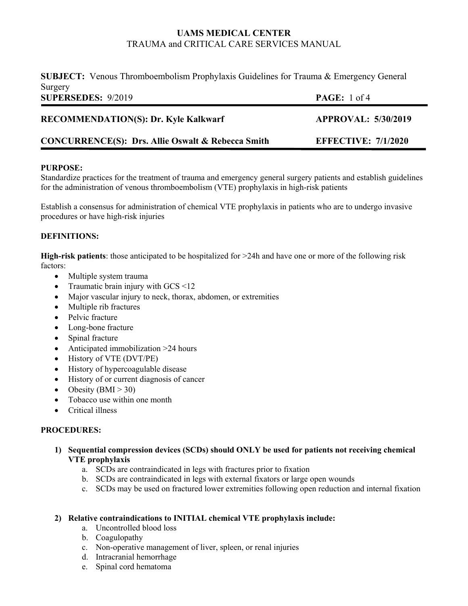**SUBJECT:** Venous Thromboembolism Prophylaxis Guidelines for Trauma & Emergency General Surgery **SUPERSEDES:** 9/2019 **PAGE:** 1 of 4

| <b>RECOMMENDATION(S): Dr. Kyle Kalkwarf</b>                  | <b>APPROVAL: 5/30/2019</b> |
|--------------------------------------------------------------|----------------------------|
| <b>CONCURRENCE(S): Drs. Allie Oswalt &amp; Rebecca Smith</b> | <b>EFFECTIVE: 7/1/2020</b> |

## **PURPOSE:**

Standardize practices for the treatment of trauma and emergency general surgery patients and establish guidelines for the administration of venous thromboembolism (VTE) prophylaxis in high-risk patients

Establish a consensus for administration of chemical VTE prophylaxis in patients who are to undergo invasive procedures or have high-risk injuries

## **DEFINITIONS:**

**High-risk patients**: those anticipated to be hospitalized for >24h and have one or more of the following risk factors:

- Multiple system trauma
- Traumatic brain injury with GCS <12
- Major vascular injury to neck, thorax, abdomen, or extremities
- Multiple rib fractures
- Pelvic fracture
- Long-bone fracture
- Spinal fracture
- Anticipated immobilization >24 hours
- History of VTE (DVT/PE)
- History of hypercoagulable disease
- History of or current diagnosis of cancer
- Obesity  $(BMI > 30)$
- Tobacco use within one month
- Critical illness

## **PROCEDURES:**

- **1) Sequential compression devices (SCDs) should ONLY be used for patients not receiving chemical VTE prophylaxis** 
	- a. SCDs are contraindicated in legs with fractures prior to fixation
	- b. SCDs are contraindicated in legs with external fixators or large open wounds
	- c. SCDs may be used on fractured lower extremities following open reduction and internal fixation

## **2) Relative contraindications to INITIAL chemical VTE prophylaxis include:**

- a. Uncontrolled blood loss
- b. Coagulopathy
- c. Non-operative management of liver, spleen, or renal injuries
- d. Intracranial hemorrhage
- e. Spinal cord hematoma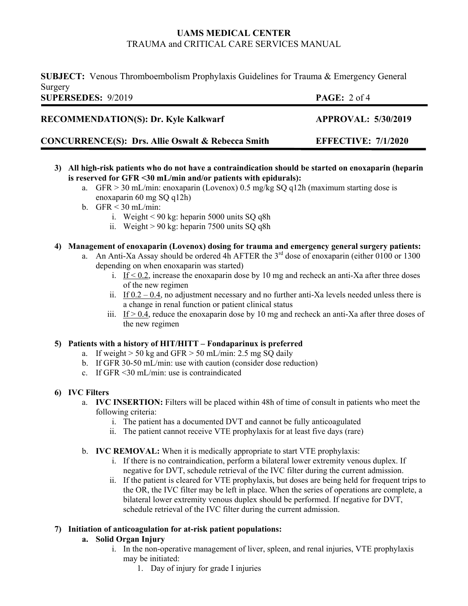**SUBJECT:** Venous Thromboembolism Prophylaxis Guidelines for Trauma & Emergency General Surgery<br>SUPEREPES 0/2010

| <b>SUPERSEDES: 9/2019</b>                                    | <b>PAGE:</b> $2 \text{ of } 4$ |
|--------------------------------------------------------------|--------------------------------|
| <b>RECOMMENDATION(S): Dr. Kyle Kalkwarf</b>                  | <b>APPROVAL: 5/30/2019</b>     |
| <b>CONCURRENCE(S): Drs. Allie Oswalt &amp; Rebecca Smith</b> | <b>EFFECTIVE: 7/1/2020</b>     |

- **3) All high-risk patients who do not have a contraindication should be started on enoxaparin (heparin is reserved for GFR <30 mL/min and/or patients with epidurals):**
	- a. GFR  $> 30$  mL/min: enoxaparin (Lovenox) 0.5 mg/kg SQ q12h (maximum starting dose is enoxaparin 60 mg SQ q12h)
	- b. GFR < 30 mL/min:
		- i. Weight < 90 kg: heparin 5000 units SQ q8h
		- ii. Weight  $> 90$  kg: heparin 7500 units SO q8h

## **4) Management of enoxaparin (Lovenox) dosing for trauma and emergency general surgery patients:**

- a. An Anti-Xa Assay should be ordered 4h AFTER the  $3<sup>rd</sup>$  dose of enoxaparin (either 0100 or 1300 depending on when enoxaparin was started)
	- i. If  $\leq 0.2$ , increase the enoxaparin dose by 10 mg and recheck an anti-Xa after three doses of the new regimen
	- ii. If  $0.2 0.4$ , no adjustment necessary and no further anti-Xa levels needed unless there is a change in renal function or patient clinical status
	- iii. If  $> 0.4$ , reduce the enoxaparin dose by 10 mg and recheck an anti-Xa after three doses of the new regimen

## **5) Patients with a history of HIT/HITT – Fondaparinux is preferred**

- a. If weight  $> 50$  kg and GFR  $> 50$  mL/min: 2.5 mg SQ daily
- b. If GFR 30-50 mL/min: use with caution (consider dose reduction)
- c. If GFR <30 mL/min: use is contraindicated

#### **6) IVC Filters**

- a. **IVC INSERTION:** Filters will be placed within 48h of time of consult in patients who meet the following criteria:
	- i. The patient has a documented DVT and cannot be fully anticoagulated
	- ii. The patient cannot receive VTE prophylaxis for at least five days (rare)
- b. **IVC REMOVAL:** When it is medically appropriate to start VTE prophylaxis:
	- i. If there is no contraindication, perform a bilateral lower extremity venous duplex. If negative for DVT, schedule retrieval of the IVC filter during the current admission.
	- ii. If the patient is cleared for VTE prophylaxis, but doses are being held for frequent trips to the OR, the IVC filter may be left in place. When the series of operations are complete, a bilateral lower extremity venous duplex should be performed. If negative for DVT, schedule retrieval of the IVC filter during the current admission.

## **7) Initiation of anticoagulation for at-risk patient populations:**

## **a. Solid Organ Injury**

- i. In the non-operative management of liver, spleen, and renal injuries, VTE prophylaxis may be initiated:
	- 1. Day of injury for grade I injuries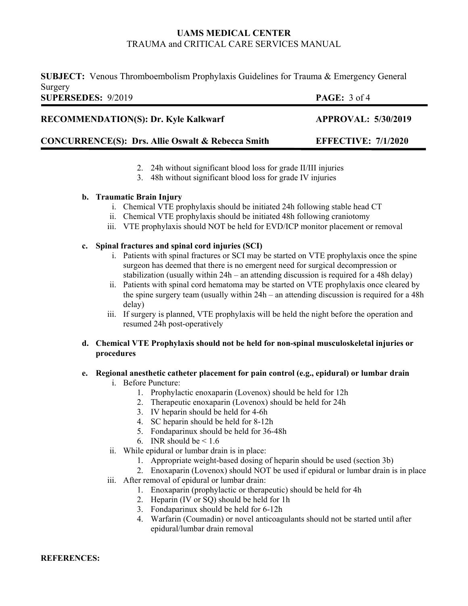**SUBJECT:** Venous Thromboembolism Prophylaxis Guidelines for Trauma & Emergency General Surgery **SUPERSEDES:** 9/2019 **PAGE:** 3 of 4

| <b>RECOMMENDATION(S): Dr. Kyle Kalkwarf</b>                  | <b>APPROVAL: 5/30/2019</b> |
|--------------------------------------------------------------|----------------------------|
| <b>CONCURRENCE(S): Drs. Allie Oswalt &amp; Rebecca Smith</b> | <b>EFFECTIVE: 7/1/2020</b> |

- 2. 24h without significant blood loss for grade II/III injuries
- 3. 48h without significant blood loss for grade IV injuries

## **b. Traumatic Brain Injury**

- i. Chemical VTE prophylaxis should be initiated 24h following stable head CT
- ii. Chemical VTE prophylaxis should be initiated 48h following craniotomy
- iii. VTE prophylaxis should NOT be held for EVD/ICP monitor placement or removal

## **c. Spinal fractures and spinal cord injuries (SCI)**

- i. Patients with spinal fractures or SCI may be started on VTE prophylaxis once the spine surgeon has deemed that there is no emergent need for surgical decompression or stabilization (usually within  $24h -$  an attending discussion is required for a 48h delay)
- ii. Patients with spinal cord hematoma may be started on VTE prophylaxis once cleared by the spine surgery team (usually within 24h – an attending discussion is required for a 48h delay)
- iii. If surgery is planned, VTE prophylaxis will be held the night before the operation and resumed 24h post-operatively

## **d. Chemical VTE Prophylaxis should not be held for non-spinal musculoskeletal injuries or procedures**

## **e. Regional anesthetic catheter placement for pain control (e.g., epidural) or lumbar drain**

- i. Before Puncture:
	- 1. Prophylactic enoxaparin (Lovenox) should be held for 12h
	- 2. Therapeutic enoxaparin (Lovenox) should be held for 24h
	- 3. IV heparin should be held for 4-6h
	- 4. SC heparin should be held for 8-12h
	- 5. Fondaparinux should be held for 36-48h
	- 6. INR should be  $\leq 1.6$
- ii. While epidural or lumbar drain is in place:
	- 1. Appropriate weight-based dosing of heparin should be used (section 3b)
	- 2. Enoxaparin (Lovenox) should NOT be used if epidural or lumbar drain is in place
- iii. After removal of epidural or lumbar drain:
	- 1. Enoxaparin (prophylactic or therapeutic) should be held for 4h
	- 2. Heparin (IV or SQ) should be held for 1h
	- 3. Fondaparinux should be held for 6-12h
	- 4. Warfarin (Coumadin) or novel anticoagulants should not be started until after epidural/lumbar drain removal

**REFERENCES:**